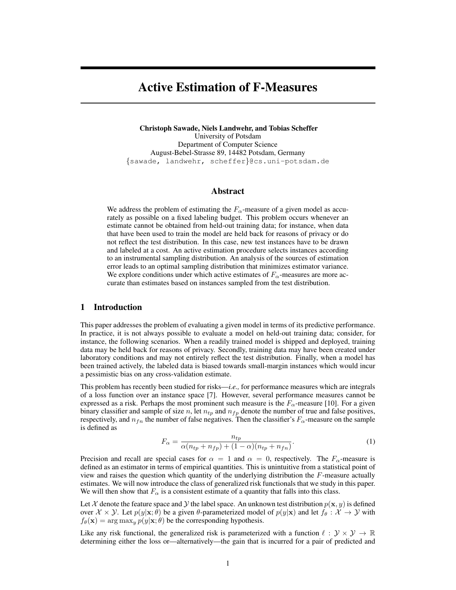# Active Estimation of F-Measures

Christoph Sawade, Niels Landwehr, and Tobias Scheffer University of Potsdam Department of Computer Science August-Bebel-Strasse 89, 14482 Potsdam, Germany {sawade, landwehr, scheffer}@cs.uni-potsdam.de

# Abstract

We address the problem of estimating the  $F_\alpha$ -measure of a given model as accurately as possible on a fixed labeling budget. This problem occurs whenever an estimate cannot be obtained from held-out training data; for instance, when data that have been used to train the model are held back for reasons of privacy or do not reflect the test distribution. In this case, new test instances have to be drawn and labeled at a cost. An active estimation procedure selects instances according to an instrumental sampling distribution. An analysis of the sources of estimation error leads to an optimal sampling distribution that minimizes estimator variance. We explore conditions under which active estimates of  $F_\alpha$ -measures are more accurate than estimates based on instances sampled from the test distribution.

# 1 Introduction

This paper addresses the problem of evaluating a given model in terms of its predictive performance. In practice, it is not always possible to evaluate a model on held-out training data; consider, for instance, the following scenarios. When a readily trained model is shipped and deployed, training data may be held back for reasons of privacy. Secondly, training data may have been created under laboratory conditions and may not entirely reflect the test distribution. Finally, when a model has been trained actively, the labeled data is biased towards small-margin instances which would incur a pessimistic bias on any cross-validation estimate.

This problem has recently been studied for risks—*i.e.,* for performance measures which are integrals of a loss function over an instance space [7]. However, several performance measures cannot be expressed as a risk. Perhaps the most prominent such measure is the  $F_{\alpha}$ -measure [10]. For a given binary classifier and sample of size n, let  $n_{tp}$  and  $n_{fp}$  denote the number of true and false positives, respectively, and  $n_{fn}$  the number of false negatives. Then the classifier's  $F_\alpha$ -measure on the sample is defined as

$$
F_{\alpha} = \frac{n_{tp}}{\alpha(n_{tp} + n_{fp}) + (1 - \alpha)(n_{tp} + n_{fn})}.
$$
\n<sup>(1)</sup>

Precision and recall are special cases for  $\alpha = 1$  and  $\alpha = 0$ , respectively. The  $F_{\alpha}$ -measure is defined as an estimator in terms of empirical quantities. This is unintuitive from a statistical point of view and raises the question which quantity of the underlying distribution the  $F$ -measure actually estimates. We will now introduce the class of generalized risk functionals that we study in this paper. We will then show that  $F_{\alpha}$  is a consistent estimate of a quantity that falls into this class.

Let X denote the feature space and Y the label space. An unknown test distribution  $p(\mathbf{x}, y)$  is defined over  $\mathcal{X} \times \mathcal{Y}$ . Let  $p(y|\mathbf{x}; \theta)$  be a given  $\theta$ -parameterized model of  $p(y|\mathbf{x})$  and let  $f_\theta : \mathcal{X} \to \mathcal{Y}$  with  $f_{\theta}(\mathbf{x}) = \arg \max_{y} p(y|\mathbf{x}; \theta)$  be the corresponding hypothesis.

Like any risk functional, the generalized risk is parameterized with a function  $\ell : \mathcal{Y} \times \mathcal{Y} \to \mathbb{R}$ determining either the loss or—alternatively—the gain that is incurred for a pair of predicted and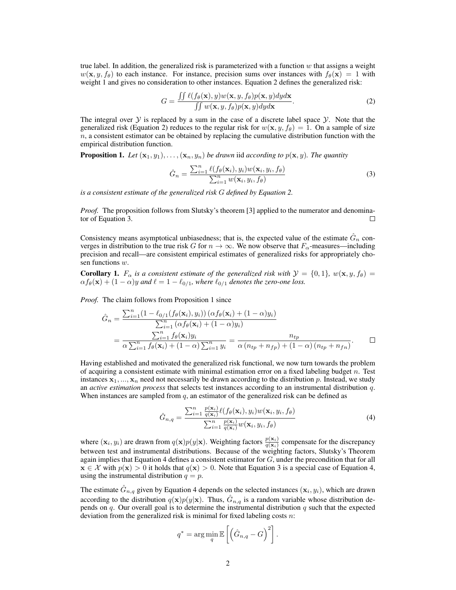true label. In addition, the generalized risk is parameterized with a function  $w$  that assigns a weight  $w(\mathbf{x}, y, f_\theta)$  to each instance. For instance, precision sums over instances with  $f_\theta(\mathbf{x}) = 1$  with weight 1 and gives no consideration to other instances. Equation 2 defines the generalized risk:

$$
G = \frac{\iint \ell(f_{\theta}(\mathbf{x}), y) w(\mathbf{x}, y, f_{\theta}) p(\mathbf{x}, y) dy d\mathbf{x}}{\iint w(\mathbf{x}, y, f_{\theta}) p(\mathbf{x}, y) dy d\mathbf{x}}.
$$
 (2)

The integral over  $Y$  is replaced by a sum in the case of a discrete label space  $Y$ . Note that the generalized risk (Equation 2) reduces to the regular risk for  $w(\mathbf{x}, y, f_\theta) = 1$ . On a sample of size  $n$ , a consistent estimator can be obtained by replacing the cumulative distribution function with the empirical distribution function.

**Proposition 1.** Let  $(\mathbf{x}_1, y_1), \ldots, (\mathbf{x}_n, y_n)$  be drawn iid according to  $p(\mathbf{x}, y)$ . The quantity

$$
\hat{G}_n = \frac{\sum_{i=1}^n \ell(f_\theta(\mathbf{x}_i), y_i) w(\mathbf{x}_i, y_i, f_\theta)}{\sum_{i=1}^n w(\mathbf{x}_i, y_i, f_\theta)}
$$
(3)

*is a consistent estimate of the generalized risk* G *defined by Equation 2.*

*Proof.* The proposition follows from Slutsky's theorem [3] applied to the numerator and denominator of Equation 3. П

Consistency means asymptotical unbiasedness; that is, the expected value of the estimate  $\hat{G}_n$  converges in distribution to the true risk G for  $n \to \infty$ . We now observe that  $F_\alpha$ -measures—including precision and recall—are consistent empirical estimates of generalized risks for appropriately chosen functions w.

**Corollary 1.**  $F_{\alpha}$  *is a consistent estimate of the generalized risk with*  $\mathcal{Y} = \{0, 1\}$ ,  $w(\mathbf{x}, y, f_{\theta}) =$  $\alpha f_{\theta}(\mathbf{x}) + (1 - \alpha)y$  *and*  $\ell = 1 - \ell_{0/1}$ *, where*  $\ell_{0/1}$  *denotes the zero-one loss.* 

*Proof.* The claim follows from Proposition 1 since

$$
\hat{G}_n = \frac{\sum_{i=1}^n (1 - \ell_{0/1}(f_\theta(\mathbf{x}_i), y_i)) (\alpha f_\theta(\mathbf{x}_i) + (1 - \alpha) y_i)}{\sum_{i=1}^n (\alpha f_\theta(\mathbf{x}_i) + (1 - \alpha) y_i)} \n= \frac{\sum_{i=1}^n f_\theta(\mathbf{x}_i) y_i}{\alpha \sum_{i=1}^n f_\theta(\mathbf{x}_i) + (1 - \alpha) \sum_{i=1}^n y_i} = \frac{n_{tp}}{\alpha (n_{tp} + n_{fp}) + (1 - \alpha) (n_{tp} + n_{fn})}.
$$

Having established and motivated the generalized risk functional, we now turn towards the problem of acquiring a consistent estimate with minimal estimation error on a fixed labeling budget  $n$ . Test instances  $x_1, ..., x_n$  need not necessarily be drawn according to the distribution p. Instead, we study an *active estimation process* that selects test instances according to an instrumental distribution q. When instances are sampled from  $q$ , an estimator of the generalized risk can be defined as

$$
\hat{G}_{n,q} = \frac{\sum_{i=1}^{n} \frac{p(\mathbf{x}_i)}{q(\mathbf{x}_i)} \ell(f_{\theta}(\mathbf{x}_i), y_i) w(\mathbf{x}_i, y_i, f_{\theta})}{\sum_{i=1}^{n} \frac{p(\mathbf{x}_i)}{q(\mathbf{x}_i)} w(\mathbf{x}_i, y_i, f_{\theta})}
$$
(4)

where  $(x_i, y_i)$  are drawn from  $q(x)p(y|x)$ . Weighting factors  $\frac{p(x_i)}{q(x_i)}$  compensate for the discrepancy between test and instrumental distributions. Because of the weighting factors, Slutsky's Theorem again implies that Equation 4 defines a consistent estimator for  $G$ , under the precondition that for all  $\mathbf{x} \in \mathcal{X}$  with  $p(\mathbf{x}) > 0$  it holds that  $q(\mathbf{x}) > 0$ . Note that Equation 3 is a special case of Equation 4, using the instrumental distribution  $q = p$ .

The estimate  $\hat{G}_{n,q}$  given by Equation 4 depends on the selected instances  $(\mathbf{x}_i, y_i)$ , which are drawn according to the distribution  $q(\mathbf{x})p(y|\mathbf{x})$ . Thus,  $\hat{G}_{n,q}$  is a random variable whose distribution depends on  $q$ . Our overall goal is to determine the instrumental distribution  $q$  such that the expected deviation from the generalized risk is minimal for fixed labeling costs  $n$ .

$$
q^* = \arg\min_q \mathbb{E}\left[\left(\hat{G}_{n,q} - G\right)^2\right].
$$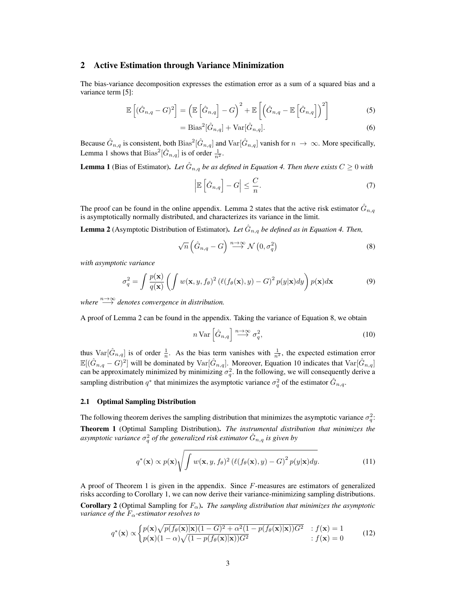# 2 Active Estimation through Variance Minimization

The bias-variance decomposition expresses the estimation error as a sum of a squared bias and a variance term [5]:

$$
\mathbb{E}\left[ (\hat{G}_{n,q} - G)^2 \right] = \left( \mathbb{E}\left[ \hat{G}_{n,q} \right] - G \right)^2 + \mathbb{E}\left[ \left( \hat{G}_{n,q} - \mathbb{E}\left[ \hat{G}_{n,q} \right] \right)^2 \right] \tag{5}
$$

$$
= \text{Bias}^2[\hat{G}_{n,q}] + \text{Var}[\hat{G}_{n,q}].
$$
\n<sup>(6)</sup>

Because  $\hat G_{n,q}$  is consistent, both  $Bias^2[\hat G_{n,q}]$  and  $Var[\hat G_{n,q}]$  vanish for  $n \to \infty$ . More specifically, Lemma 1 shows that  $Bias^2[\hat{G}_{n,q}]$  is of order  $\frac{1}{n^2}$ .

**Lemma 1** (Bias of Estimator). Let  $\hat{G}_{n,q}$  be as defined in Equation 4. Then there exists  $C \geq 0$  with

$$
\left|\mathbb{E}\left[\hat{G}_{n,q}\right] - G\right| \leq \frac{C}{n}.\tag{7}
$$

The proof can be found in the online appendix. Lemma 2 states that the active risk estimator  $\hat{G}_{n,q}$ is asymptotically normally distributed, and characterizes its variance in the limit.

**Lemma 2** (Asymptotic Distribution of Estimator). Let  $\hat{G}_{n,q}$  be defined as in Equation 4. Then,

$$
\sqrt{n}\left(\hat{G}_{n,q}-G\right)\stackrel{n\to\infty}{\longrightarrow}\mathcal{N}\left(0,\sigma_{q}^{2}\right)
$$
\n(8)

*with asymptotic variance*

$$
\sigma_q^2 = \int \frac{p(\mathbf{x})}{q(\mathbf{x})} \left( \int w(\mathbf{x}, y, f_\theta)^2 \left( \ell(f_\theta(\mathbf{x}), y) - G \right)^2 p(y|\mathbf{x}) dy \right) p(\mathbf{x}) d\mathbf{x} \tag{9}
$$

*where*  $\longrightarrow^{\infty}$  *denotes convergence in distribution.* 

A proof of Lemma 2 can be found in the appendix. Taking the variance of Equation 8, we obtain

$$
n \operatorname{Var}\left[\hat{G}_{n,q}\right] \stackrel{n \to \infty}{\longrightarrow} \sigma_q^2,\tag{10}
$$

thus  $\text{Var}[\hat{G}_{n,q}]$  is of order  $\frac{1}{n}$ . As the bias term vanishes with  $\frac{1}{n^2}$ , the expected estimation error  $\mathbb{E}[(\hat{G}_{n,q}-G)^2]$  will be dominated by  $\text{Var}[\hat{G}_{n,q}]$ . Moreover, Equation 10 indicates that  $\text{Var}[\hat{G}_{n,q}]$ can be approximately minimized by minimizing  $\sigma_q^2$ . In the following, we will consequently derive a sampling distribution  $q^*$  that minimizes the asymptotic variance  $\sigma_q^2$  of the estimator  $\hat{G}_{n,q}$ .

### 2.1 Optimal Sampling Distribution

The following theorem derives the sampling distribution that minimizes the asymptotic variance  $\sigma_q^2$ . Theorem 1 (Optimal Sampling Distribution). *The instrumental distribution that minimizes the* asymptotic variance  $\sigma_q^2$  of the generalized risk estimator  $\hat G_{n,q}$  is given by

$$
q^*(\mathbf{x}) \propto p(\mathbf{x}) \sqrt{\int w(\mathbf{x}, y, f_{\theta})^2 \left(\ell(f_{\theta}(\mathbf{x}), y) - G\right)^2 p(y|\mathbf{x}) dy}.
$$
 (11)

A proof of Theorem 1 is given in the appendix. Since  $F$ -measures are estimators of generalized risks according to Corollary 1, we can now derive their variance-minimizing sampling distributions. **Corollary 2** (Optimal Sampling for  $F_\alpha$ ). *The sampling distribution that minimizes the asymptotic variance of the*  $F_\alpha$ -estimator resolves to

$$
q^*(\mathbf{x}) \propto \begin{cases} p(\mathbf{x}) \sqrt{p(f_\theta(\mathbf{x})|\mathbf{x}})(1-G)^2 + \alpha^2 (1-p(f_\theta(\mathbf{x})|\mathbf{x}))G^2 & \text{if } (\mathbf{x}) = 1\\ p(\mathbf{x})(1-\alpha)\sqrt{(1-p(f_\theta(\mathbf{x})|\mathbf{x}))G^2} & \text{if } (\mathbf{x}) = 0 \end{cases} \tag{12}
$$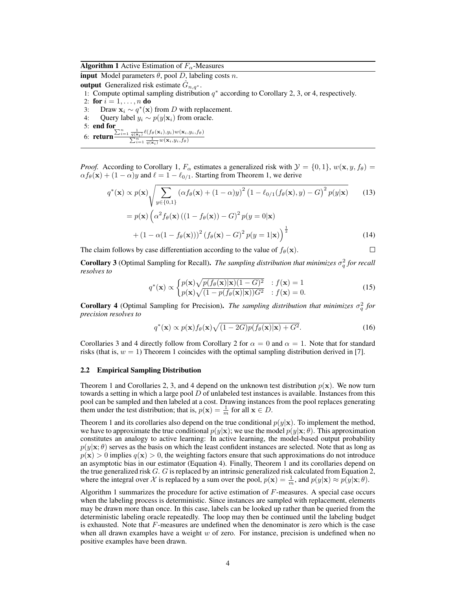**Algorithm 1** Active Estimation of  $F_\alpha$ -Measures

input Model parameters  $\theta$ , pool D, labeling costs n.

output Generalized risk estimate  $\hat{G}_{n,q^*}$ .

1: Compute optimal sampling distribution  $q^*$  according to Corollary 2, 3, or 4, respectively.

2: for  $i = 1, ..., n$  do 3: Draw  $\mathbf{x}_i \sim q^*(\mathbf{x})$  from D with replacement. 4: Query label  $y_i \sim p(y|\mathbf{x}_i)$  from oracle. 5: end for 6: return  $\frac{\sum_{i=1}^{n} \frac{1}{q(\mathbf{x}_i)} \ell(f_{\theta}(\mathbf{x}_i), y_i) w(\mathbf{x}_i, y_i, f_{\theta})}{\sum_{i=1}^{n} \frac{1}{q(\mathbf{x}_i, y_i, f_{\theta})}$  $\sum_{i=1}^n \frac{1}{q(\mathbf{x}_i)} w(\mathbf{x}_i,y_i,f_\theta)$ 

*Proof.* According to Corollary 1,  $F_{\alpha}$  estimates a generalized risk with  $\mathcal{Y} = \{0, 1\}$ ,  $w(\mathbf{x}, y, f_{\theta}) =$  $\alpha f_{\theta}(\mathbf{x}) + (1 - \alpha)y$  and  $\ell = 1 - \ell_{0/1}$ . Starting from Theorem 1, we derive

$$
q^*(\mathbf{x}) \propto p(\mathbf{x}) \sqrt{\sum_{y \in \{0,1\}} (\alpha f_\theta(\mathbf{x}) + (1 - \alpha)y)^2 (1 - \ell_{0/1}(f_\theta(\mathbf{x}), y) - G)^2 p(y|\mathbf{x})}
$$
(13)  
=  $p(\mathbf{x}) (\alpha^2 f_\theta(\mathbf{x}) ((1 - f_\theta(\mathbf{x})) - G)^2 p(y = 0|\mathbf{x})$   
+  $(1 - \alpha(1 - f_\theta(\mathbf{x})))^2 (f_\theta(\mathbf{x}) - G)^2 p(y = 1|\mathbf{x})^{\frac{1}{2}}$  (14)

The claim follows by case differentiation according to the value of  $f_{\theta}(\mathbf{x})$ .

**Corollary 3** (Optimal Sampling for Recall). *The sampling distribution that minimizes*  $\sigma_q^2$  *for recall resolves to*

$$
q^*(\mathbf{x}) \propto \begin{cases} p(\mathbf{x})\sqrt{p(f_\theta(\mathbf{x})|\mathbf{x}})(1-G)^2 & \text{if } (\mathbf{x}) = 1\\ p(\mathbf{x})\sqrt{(1-p(f_\theta(\mathbf{x})|\mathbf{x}}))G^2} & \text{if } (\mathbf{x}) = 0. \end{cases} \tag{15}
$$

 $\Box$ 

**Corollary 4** (Optimal Sampling for Precision). *The sampling distribution that minimizes*  $\sigma_q^2$  for *precision resolves to*

$$
q^*(\mathbf{x}) \propto p(\mathbf{x}) f_\theta(\mathbf{x}) \sqrt{(1 - 2G)p(f_\theta(\mathbf{x})|\mathbf{x}) + G^2}.
$$
 (16)

Corollaries 3 and 4 directly follow from Corollary 2 for  $\alpha = 0$  and  $\alpha = 1$ . Note that for standard risks (that is,  $w = 1$ ) Theorem 1 coincides with the optimal sampling distribution derived in [7].

### 2.2 Empirical Sampling Distribution

Theorem 1 and Corollaries 2, 3, and 4 depend on the unknown test distribution  $p(x)$ . We now turn towards a setting in which a large pool  $D$  of unlabeled test instances is available. Instances from this pool can be sampled and then labeled at a cost. Drawing instances from the pool replaces generating them under the test distribution; that is,  $p(\mathbf{x}) = \frac{1}{m}$  for all  $\mathbf{x} \in D$ .

Theorem 1 and its corollaries also depend on the true conditional  $p(y|\mathbf{x})$ . To implement the method, we have to approximate the true conditional  $p(y|x);$  we use the model  $p(y|x; \theta)$ . This approximation constitutes an analogy to active learning: In active learning, the model-based output probability  $p(y|\mathbf{x}; \theta)$  serves as the basis on which the least confident instances are selected. Note that as long as  $p(x) > 0$  implies  $q(x) > 0$ , the weighting factors ensure that such approximations do not introduce an asymptotic bias in our estimator (Equation 4). Finally, Theorem 1 and its corollaries depend on the true generalized risk G. G is replaced by an intrinsic generalized risk calculated from Equation 2, where the integral over X is replaced by a sum over the pool,  $p(\mathbf{x}) = \frac{1}{m}$ , and  $p(y|\mathbf{x}) \approx p(y|\mathbf{x}; \theta)$ .

Algorithm 1 summarizes the procedure for active estimation of  $F$ -measures. A special case occurs when the labeling process is deterministic. Since instances are sampled with replacement, elements may be drawn more than once. In this case, labels can be looked up rather than be queried from the deterministic labeling oracle repeatedly. The loop may then be continued until the labeling budget is exhausted. Note that F-measures are undefined when the denominator is zero which is the case when all drawn examples have a weight  $w$  of zero. For instance, precision is undefined when no positive examples have been drawn.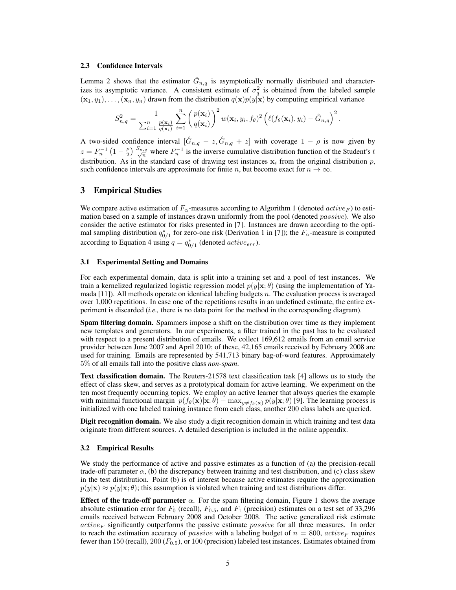#### 2.3 Confidence Intervals

Lemma 2 shows that the estimator  $\hat{G}_{n,q}$  is asymptotically normally distributed and characterizes its asymptotic variance. A consistent estimate of  $\sigma_q^2$  is obtained from the labeled sample  $(\mathbf{x}_1, y_1), \ldots, (\mathbf{x}_n, y_n)$  drawn from the distribution  $q(\mathbf{x})p(y|\mathbf{x})$  by computing empirical variance

$$
S_{n,q}^2 = \frac{1}{\sum_{i=1}^n \frac{p(\mathbf{x}_i)}{q(\mathbf{x}_i)}} \sum_{i=1}^n \left(\frac{p(\mathbf{x}_i)}{q(\mathbf{x}_i)}\right)^2 w(\mathbf{x}_i, y_i, f_{\theta})^2 \left(\ell(f_{\theta}(\mathbf{x}_i), y_i) - \hat{G}_{n,q}\right)^2
$$

.

A two-sided confidence interval  $[\hat{G}_{n,q} - z, \hat{G}_{n,q} + z]$  with coverage  $1 - \rho$  is now given by  $z = F_n^{-1} \left(1 - \frac{\rho}{2}\right) \frac{S_{n,q}}{\sqrt{n}}$  where  $F_n^{-1}$  is the inverse cumulative distribution function of the Student's t distribution. As in the standard case of drawing test instances  $x_i$  from the original distribution p, such confidence intervals are approximate for finite n, but become exact for  $n \to \infty$ .

# 3 Empirical Studies

We compare active estimation of  $F_{\alpha}$ -measures according to Algorithm 1 (denoted  $active_F$ ) to estimation based on a sample of instances drawn uniformly from the pool (denoted  $passive$ ). We also consider the active estimator for risks presented in [7]. Instances are drawn according to the optimal sampling distribution  $q_{0/1}^*$  for zero-one risk (Derivation 1 in [7]); the  $F_\alpha$ -measure is computed according to Equation 4 using  $q = q_{0/1}^*$  (denoted  $active_{err}$ ).

#### 3.1 Experimental Setting and Domains

For each experimental domain, data is split into a training set and a pool of test instances. We train a kernelized regularized logistic regression model  $p(y|x; \theta)$  (using the implementation of Yamada  $[11]$ ). All methods operate on identical labeling budgets n. The evaluation process is averaged over 1,000 repetitions. In case one of the repetitions results in an undefined estimate, the entire experiment is discarded (*i.e.,* there is no data point for the method in the corresponding diagram).

Spam filtering domain. Spammers impose a shift on the distribution over time as they implement new templates and generators. In our experiments, a filter trained in the past has to be evaluated with respect to a present distribution of emails. We collect 169,612 emails from an email service provider between June 2007 and April 2010; of these, 42,165 emails received by February 2008 are used for training. Emails are represented by 541,713 binary bag-of-word features. Approximately 5% of all emails fall into the positive class *non-spam*.

Text classification domain. The Reuters-21578 text classification task [4] allows us to study the effect of class skew, and serves as a prototypical domain for active learning. We experiment on the ten most frequently occurring topics. We employ an active learner that always queries the example with minimal functional margin  $p(f_{\theta}(\mathbf{x})|\mathbf{x}; \theta) - \max_{y \neq f_{\theta}(\mathbf{x})} p(y|\mathbf{x}; \theta)$  [9]. The learning process is initialized with one labeled training instance from each class, another 200 class labels are queried.

Digit recognition domain. We also study a digit recognition domain in which training and test data originate from different sources. A detailed description is included in the online appendix.

#### 3.2 Empirical Results

We study the performance of active and passive estimates as a function of (a) the precision-recall trade-off parameter  $\alpha$ , (b) the discrepancy between training and test distribution, and (c) class skew in the test distribution. Point (b) is of interest because active estimates require the approximation  $p(y|\mathbf{x}) \approx p(y|\mathbf{x}; \theta)$ ; this assumption is violated when training and test distributions differ.

Effect of the trade-off parameter  $\alpha$ . For the spam filtering domain, Figure 1 shows the average absolute estimation error for  $F_0$  (recall),  $F_{0.5}$ , and  $F_1$  (precision) estimates on a test set of 33,296 emails received between February 2008 and October 2008. The active generalized risk estimate  $active_F$  significantly outperforms the passive estimate *passive* for all three measures. In order to reach the estimation accuracy of *passive* with a labeling budget of  $n = 800$ , *active<sub>F</sub>* requires fewer than 150 (recall), 200 ( $F_{0.5}$ ), or 100 (precision) labeled test instances. Estimates obtained from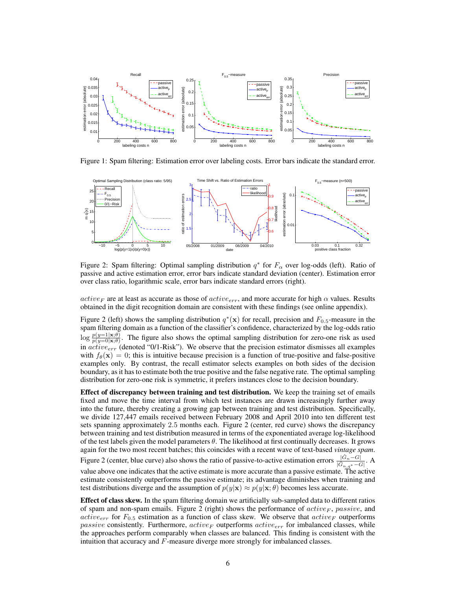

Figure 1: Spam filtering: Estimation error over labeling costs. Error bars indicate the standard error.



Figure 2: Spam filtering: Optimal sampling distribution  $q^*$  for  $F_\alpha$  over log-odds (left). Ratio of passive and active estimation error, error bars indicate standard deviation (center). Estimation error over class ratio, logarithmic scale, error bars indicate standard errors (right).

 $active_F$  are at least as accurate as those of  $active_{err}$ , and more accurate for high  $\alpha$  values. Results obtained in the digit recognition domain are consistent with these findings (see online appendix).

Figure 2 (left) shows the sampling distribution  $q^*(\mathbf{x})$  for recall, precision and  $F_{0.5}$ -measure in the spam filtering domain as a function of the classifier's confidence, characterized by the log-odds ratio  $\log \frac{p(y=1|\mathbf{x};\theta)}{p(y=0|\mathbf{x};\theta)}$ . The figure also shows the optimal sampling distribution for zero-one risk as used in  $active_{err}$  (denoted "0/1-Risk"). We observe that the precision estimator dismisses all examples with  $f_{\theta}(\mathbf{x}) = 0$ ; this is intuitive because precision is a function of true-positive and false-positive examples only. By contrast, the recall estimator selects examples on both sides of the decision boundary, as it has to estimate both the true positive and the false negative rate. The optimal sampling distribution for zero-one risk is symmetric, it prefers instances close to the decision boundary.

Effect of discrepancy between training and test distribution. We keep the training set of emails fixed and move the time interval from which test instances are drawn increasingly further away into the future, thereby creating a growing gap between training and test distribution. Specifically, we divide 127,447 emails received between February 2008 and April 2010 into ten different test sets spanning approximately 2.5 months each. Figure 2 (center, red curve) shows the discrepancy between training and test distribution measured in terms of the exponentiated average log-likelihood of the test labels given the model parameters  $\theta$ . The likelihood at first continually decreases. It grows again for the two most recent batches; this coincides with a recent wave of text-based *vintage spam*. Figure 2 (center, blue curve) also shows the ratio of passive-to-active estimation errors  $\frac{G}{|\hat{G}_n|}$  $,q^*-\overline{G}$ |  $\frac{|\hat{G}_n - G|}{\sim}$ . A value above one indicates that the active estimate is more accurate than a passive estimate. The active estimate consistently outperforms the passive estimate; its advantage diminishes when training and test distributions diverge and the assumption of  $p(y|\mathbf{x}) \approx p(y|\mathbf{x}; \theta)$  becomes less accurate.

Effect of class skew. In the spam filtering domain we artificially sub-sampled data to different ratios of spam and non-spam emails. Figure 2 (right) shows the performance of  $active_F$ , passive, and active<sub>err</sub> for  $F_{0.5}$  estimation as a function of class skew. We observe that active<sub>F</sub> outperforms passive consistently. Furthermore,  $active_F$  outperforms  $active_{err}$  for imbalanced classes, while the approaches perform comparably when classes are balanced. This finding is consistent with the intuition that accuracy and F-measure diverge more strongly for imbalanced classes.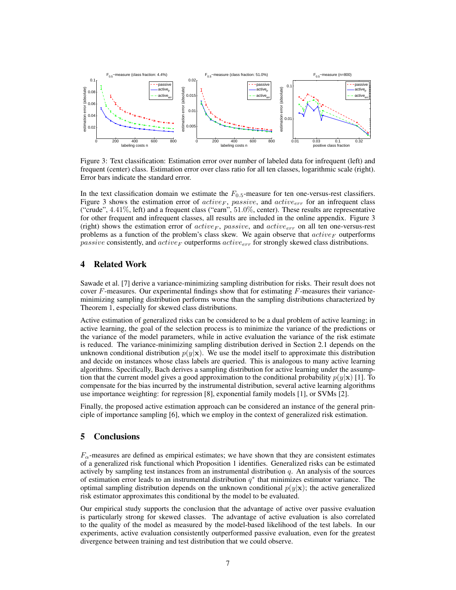

Figure 3: Text classification: Estimation error over number of labeled data for infrequent (left) and frequent (center) class. Estimation error over class ratio for all ten classes, logarithmic scale (right). Error bars indicate the standard error.

In the text classification domain we estimate the  $F_{0.5}$ -measure for ten one-versus-rest classifiers. Figure 3 shows the estimation error of  $active_F$ , passive, and  $active_{err}$  for an infrequent class ("crude",  $4.41\%$ , left) and a frequent class ("earn",  $51.0\%$ , center). These results are representative for other frequent and infrequent classes, all results are included in the online appendix. Figure 3 (right) shows the estimation error of  $active_F$ , passive, and  $active_{err}$  on all ten one-versus-rest problems as a function of the problem's class skew. We again observe that  $active_F$  outperforms passive consistently, and  $active_F$  outperforms  $active_{err}$  for strongly skewed class distributions.

# 4 Related Work

Sawade et al. [7] derive a variance-minimizing sampling distribution for risks. Their result does not cover  $F$ -measures. Our experimental findings show that for estimating  $F$ -measures their varianceminimizing sampling distribution performs worse than the sampling distributions characterized by Theorem 1, especially for skewed class distributions.

Active estimation of generalized risks can be considered to be a dual problem of active learning; in active learning, the goal of the selection process is to minimize the variance of the predictions or the variance of the model parameters, while in active evaluation the variance of the risk estimate is reduced. The variance-minimizing sampling distribution derived in Section 2.1 depends on the unknown conditional distribution  $p(y|\mathbf{x})$ . We use the model itself to approximate this distribution and decide on instances whose class labels are queried. This is analogous to many active learning algorithms. Specifically, Bach derives a sampling distribution for active learning under the assumption that the current model gives a good approximation to the conditional probability  $p(y|\mathbf{x})$  [1]. To compensate for the bias incurred by the instrumental distribution, several active learning algorithms use importance weighting: for regression [8], exponential family models [1], or SVMs [2].

Finally, the proposed active estimation approach can be considered an instance of the general principle of importance sampling [6], which we employ in the context of generalized risk estimation.

# 5 Conclusions

 $F_\alpha$ -measures are defined as empirical estimates; we have shown that they are consistent estimates of a generalized risk functional which Proposition 1 identifies. Generalized risks can be estimated actively by sampling test instances from an instrumental distribution  $q$ . An analysis of the sources of estimation error leads to an instrumental distribution  $q^*$  that minimizes estimator variance. The optimal sampling distribution depends on the unknown conditional  $p(y|x)$ ; the active generalized risk estimator approximates this conditional by the model to be evaluated.

Our empirical study supports the conclusion that the advantage of active over passive evaluation is particularly strong for skewed classes. The advantage of active evaluation is also correlated to the quality of the model as measured by the model-based likelihood of the test labels. In our experiments, active evaluation consistently outperformed passive evaluation, even for the greatest divergence between training and test distribution that we could observe.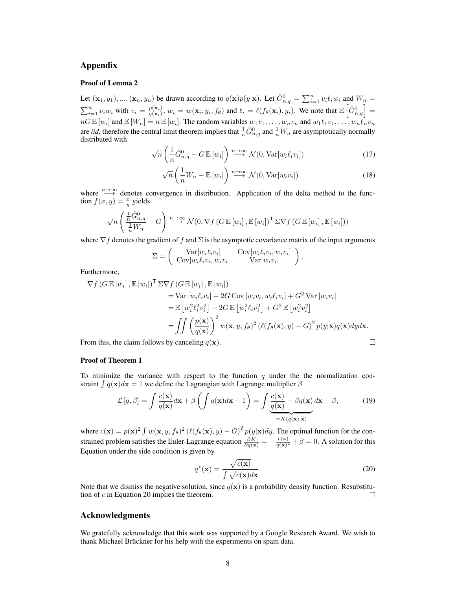# Appendix

# Proof of Lemma 2

Let  $(\mathbf{x}_1, y_1), ..., (\mathbf{x}_n, y_n)$  be drawn according to  $q(\mathbf{x})p(y|\mathbf{x})$ . Let  $\hat{G}_{n,q}^0 = \sum_{i=1}^n v_i \ell_i w_i$  and  $W_n =$  $\sum_{i=1}^{n} v_i w_i$  with  $v_i = \frac{p(\mathbf{x}_i)}{q(\mathbf{x}_i)}$  $\frac{p(\mathbf{x}_i)}{q(\mathbf{x}_i)}, w_i = w(\mathbf{x}_i, y_i, f_\theta)$  and  $\ell_i = \ell(f_\theta(\mathbf{x}_i), y_i)$ . We note that  $\mathbb{E}\left[\hat{G}_{n,q}^0\right] =$  $nG \mathbb{E}[w_i]$  and  $\mathbb{E}[W_n] = n \mathbb{E}[w_i]$ . The random variables  $w_1v_1, \ldots, w_nv_n$  and  $w_1\ell_1v_1, \ldots, w_n\ell_nv_n$ are *iid*, therefore the central limit theorem implies that  $\frac{1}{n}\hat{G}_{n,q}^0$  and  $\frac{1}{n}W_n$  are asymptotically normally distributed with

$$
\sqrt{n}\left(\frac{1}{n}\hat{G}_{n,q}^{0}-G\mathbb{E}\left[w_{i}\right]\right)\stackrel{n\to\infty}{\longrightarrow}\mathcal{N}(0,\text{Var}\left[w_{i}\ell_{i}v_{i}\right])\tag{17}
$$

$$
\sqrt{n}\left(\frac{1}{n}W_n - \mathbb{E}\left[w_i\right]\right) \stackrel{n \to \infty}{\longrightarrow} \mathcal{N}(0, \text{Var}\left[w_i v_i\right])\tag{18}
$$

where  $\lim_{n\to\infty}$  denotes convergence in distribution. Application of the delta method to the function  $f(x, y) = \frac{x}{y}$  yields

$$
\sqrt{n}\left(\frac{\frac{1}{n}\hat{G}_{n,q}^{0}}{\frac{1}{n}W_{n}}-G\right)\stackrel{n\rightarrow\infty}{\longrightarrow}\mathcal{N}(0,\nabla f\left(G\,\mathbb{E}\left[w_{i}\right],\mathbb{E}\left[w_{i}\right]\right)^{\mathsf{T}}\Sigma\nabla f\left(G\,\mathbb{E}\left[w_{i}\right],\mathbb{E}\left[w_{i}\right]\right))
$$

where  $\nabla f$  denotes the gradient of f and  $\Sigma$  is the asymptotic covariance matrix of the input arguments

$$
\Sigma = \begin{pmatrix} \text{Var}[w_i \ell_i v_i] & \text{Cov}[w_i \ell_i v_i, w_i v_i] \\ \text{Cov}[w_i \ell_i v_i, w_i v_i] & \text{Var}[w_i v_i] \end{pmatrix}.
$$

Furthermore,

$$
\nabla f \left( G \mathbb{E} \left[ w_i \right], \mathbb{E} \left[ w_i \right] \right)^\mathsf{T} \Sigma \nabla f \left( G \mathbb{E} \left[ w_i \right], \mathbb{E} \left[ w_i \right] \right)
$$
\n
$$
= \text{Var} \left[ w_i \ell_i v_i \right] - 2G \text{Cov} \left[ w_i v_i, w_i \ell_i v_i \right] + G^2 \text{Var} \left[ w_i v_i \right]
$$
\n
$$
= \mathbb{E} \left[ w_i^2 \ell_i^2 v_i^2 \right] - 2G \mathbb{E} \left[ w_i^2 \ell_i v_i^2 \right] + G^2 \mathbb{E} \left[ w_i^2 v_i^2 \right]
$$
\n
$$
= \iint \left( \frac{p(\mathbf{x})}{q(\mathbf{x})} \right)^2 w(\mathbf{x}, y, f_\theta)^2 \left( \ell(f_\theta(\mathbf{x}), y) - G \right)^2 p(y|\mathbf{x}) q(\mathbf{x}) dy d\mathbf{x}.
$$
\nfrom this, the claim follows by canceling  $q(\mathbf{x})$ .

From this, the claim follows by canceling  $q(\mathbf{x})$ .

$$
f_{\rm{max}}
$$

### Proof of Theorem 1

To minimize the variance with respect to the function  $q$  under the the normalization constraint  $\int q(\mathbf{x})d\mathbf{x} = 1$  we define the Lagrangian with Lagrange multiplier  $\beta$ 

$$
\mathcal{L}[q,\beta] = \int \frac{c(\mathbf{x})}{q(\mathbf{x})} d\mathbf{x} + \beta \left( \int q(\mathbf{x}) d\mathbf{x} - 1 \right) = \int \underbrace{\frac{c(\mathbf{x})}{q(\mathbf{x})} + \beta q(\mathbf{x})}{\sum_{k=K}^{K} (q(\mathbf{x}), \mathbf{x})} d\mathbf{x} - \beta,
$$
\n(19)

where  $c(\mathbf{x}) = p(\mathbf{x})^2 \int w(\mathbf{x}, y, f_\theta)^2 (\ell(f_\theta(\mathbf{x}), y) - G)^2 p(y|\mathbf{x}) dy$ . The optimal function for the constrained problem satisfies the Euler-Lagrange equation  $\frac{\partial K}{\partial q(x)} = -\frac{c(x)}{q(x)^2}$  $\frac{c(\mathbf{x})}{q(\mathbf{x})^2} + \beta = 0$ . A solution for this Equation under the side condition is given by

$$
q^*(\mathbf{x}) = \frac{\sqrt{c(\mathbf{x})}}{\int \sqrt{c(\mathbf{x})} d\mathbf{x}}.
$$
 (20)

Note that we dismiss the negative solution, since  $q(x)$  is a probability density function. Resubstitution of  $c$  in Equation 20 implies the theorem.  $\Box$ 

# Acknowledgments

We gratefully acknowledge that this work was supported by a Google Research Award. We wish to thank Michael Brückner for his help with the experiments on spam data.